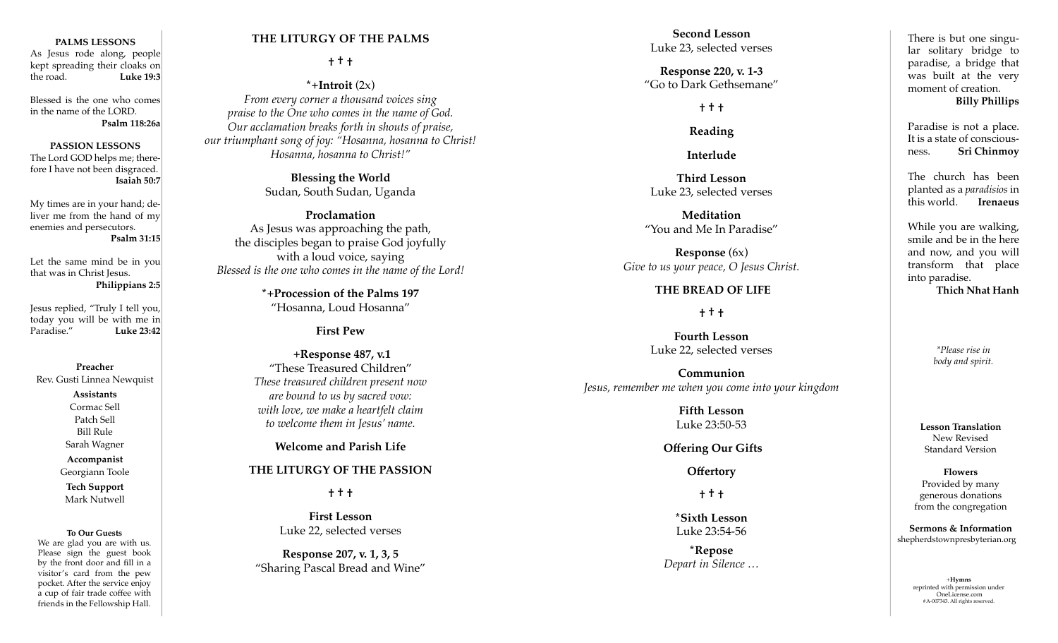#### **PALMS LESSONS**

As Jesus rode along, people kept spreading their cloaks on the road. **Luke 19:3**

Blessed is the one who comes in the name of the LORD. **Psalm 118:26a**

#### **PASSION LESSONS**

The Lord GOD helps me; there fore I have not been disgraced. **Isaiah 50:7**

My times are in your hand; de liver me from the hand of my enemies and persecutors. **Psalm 31:15**

Let the same mind be in you that was in Christ Jesus. **Philippians 2:5**

Jesus replied, "Truly I tell you, today you will be with me in<br>Paradise." Luke 23:42 Paradise." **Luke 23:42**

#### **Preacher**

Rev. Gusti Linnea Newquist

**Assistants** Cormac Sell

Patch Sell Bill Rule Sarah Wagner **Accompanist**

Georgiann Toole **Tech Support** Mark Nutwell

#### **To Our Guests**

We are glad you are with us. Please sign the guest book by the front door and fill in a visitor's card from the pew pocket. After the service enjoy a cup of fair trade coffee with friends in the Fellowship Hall.

### **THE LITURGY OF THE PALMS**

**† † †**

### **\*+Introit** (2x)

*From every corner a thousand voices sing praise to the One who comes in the name of God. Our acclamation breaks forth in shouts of praise, our triumphant song of joy: "Hosanna, hosanna to Christ! Hosanna, hosanna to Christ!"* 

> **Blessing the World** Sudan, South Sudan, Uganda

**Proclamation**  As Jesus was approaching the path, the disciples began to praise God joyfully with a loud voice, saying *Blessed is the one who comes in the name of the Lord!* 

> **\*+Procession of the Palms 197** "Hosanna, Loud Hosanna"

> > **First Pew**

 **+Response 487, v.1**  "These Treasured Children" *These treasured children present now are bound to us by sacred vow: with love, we make a heartfelt claim to welcome them in Jesus' name.* 

**Welcome and Parish Life**

### **THE LITURGY OF THE PASSION**

**† † †**

**First Lesson** Luke 22, selected verses

**Response 207, v. 1, 3, 5** "Sharing Pascal Bread and Wine"

**Second Lesson** Luke 23, selected verses

**Response 220, v. 1-3** "Go to Dark Gethsemane"

### **† † †**

**Reading**

**Interlude**

**Third Lesson** Luke 23, selected verses

**Meditation** "You and Me In Paradise"

**Response** (6x) *Give to us your peace, O Jesus Christ.*

### **THE BREAD OF LIFE**

**† † †**

**Fourth Lesson**  Luke 22, selected verses

**Communion** *Jesus, remember me when you come into your kingdom*

> **Fifth Lesson** Luke 23:50-53

 **Offering Our Gifts**

**Offertory**

**† † †**

**\*Sixth Lesson** Luke 23:54-56

**\*Repose** *Depart in Silence …* 

There is but one singu lar solitary bridge to paradise, a bridge that was built at the very moment of creation. **Billy Phillips** 

Paradise is not a place. It is a state of conscious ness. **Sri Chinmoy**

The church has been planted as a *paradisios* in this world. **Irenaeus**

While you are walking, smile and be in the here and now, and you will transform that place into paradise. **Thich Nhat Hanh**

> *\*Please rise in body and spirit.*

**Lesson Translation** New Revised Standard Version

**Flowers** Provided by many generous donations from the congregation

**Sermons & Information** shepherdstownpresbyterian.org

> +**Hymns** reprinted with permission under OneLicense.com #A-007343. All rights reserved.